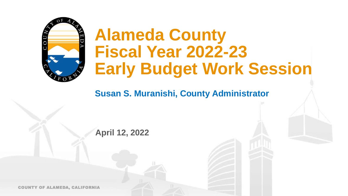

# **Alameda County Fiscal Year 2022-23 Early Budget Work Session**

**Susan S. Muranishi, County Administrator**

**April 12, 2022**

COUNTY OF ALAMEDA, CALIFORNIA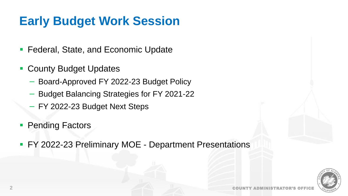# **Early Budget Work Session**

- Federal, State, and Economic Update
- County Budget Updates
	- − Board-Approved FY 2022-23 Budget Policy
	- − Budget Balancing Strategies for FY 2021-22
	- − FY 2022-23 Budget Next Steps
- Pending Factors
- FY 2022-23 Preliminary MOE Department Presentations

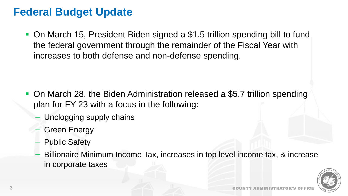### **Federal Budget Update**

■ On March 15, President Biden signed a \$1.5 trillion spending bill to fund the federal government through the remainder of the Fiscal Year with increases to both defense and non-defense spending.

- On March 28, the Biden Administration released a \$5.7 trillion spending plan for FY 23 with a focus in the following:
	- Unclogging supply chains
	- − Green Energy
	- **Public Safety**
	- − Billionaire Minimum Income Tax, increases in top level income tax, & increase in corporate taxes

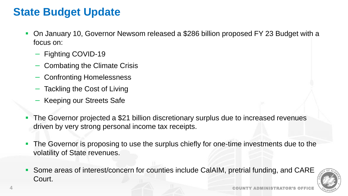### **State Budget Update**

- On January 10, Governor Newsom released a \$286 billion proposed FY 23 Budget with a focus on:
	- − Fighting COVID-19
	- − Combating the Climate Crisis
	- − Confronting Homelessness
	- Tackling the Cost of Living
	- − Keeping our Streets Safe
- The Governor projected a \$21 billion discretionary surplus due to increased revenues driven by very strong personal income tax receipts.
- **The Governor is proposing to use the surplus chiefly for one-time investments due to the** volatility of State revenues.
- **Some areas of interest/concern for counties include CalAIM, pretrial funding, and CARE** Court.

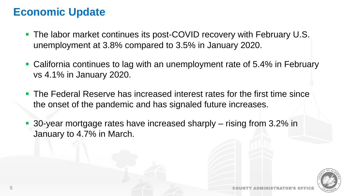### **Economic Update**

- The labor market continues its post-COVID recovery with February U.S. unemployment at 3.8% compared to 3.5% in January 2020.
- California continues to lag with an unemployment rate of 5.4% in February vs 4.1% in January 2020.
- The Federal Reserve has increased interest rates for the first time since the onset of the pandemic and has signaled future increases.
- 30-year mortgage rates have increased sharply rising from 3.2% in January to 4.7% in March.

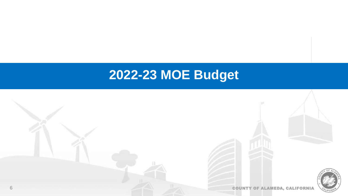# **2022-23 MOE Budget**

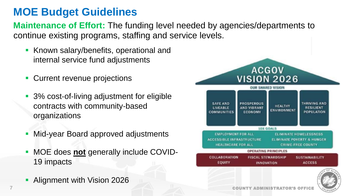## **MOE Budget Guidelines**

**Maintenance of Effort:** The funding level needed by agencies/departments to continue existing programs, staffing and service levels.

- Known salary/benefits, operational and internal service fund adjustments
- Current revenue projections
- 3% cost-of-living adjustment for eligible contracts with community‐based organizations
- **Mid-year Board approved adjustments**
- MOE does **not** generally include COVID-19 impacts
- **Alignment with Vision 2026**



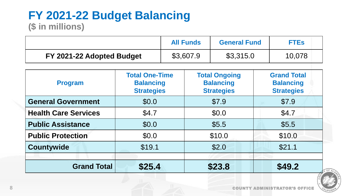### **FY 2021-22 Budget Balancing (\$ in millions)**

|                           | <b>All Funds</b> | <b>General Fund</b> | <b>FTEs</b> |
|---------------------------|------------------|---------------------|-------------|
| FY 2021-22 Adopted Budget | \$3,607.9        | \$3,315.0           | 10,078      |

| <b>Program</b>              | <b>Total One-Time</b><br><b>Balancing</b><br><b>Strategies</b> | <b>Total Ongoing</b><br><b>Balancing</b><br><b>Strategies</b> | <b>Grand Total</b><br><b>Balancing</b><br><b>Strategies</b> |
|-----------------------------|----------------------------------------------------------------|---------------------------------------------------------------|-------------------------------------------------------------|
| <b>General Government</b>   | \$0.0                                                          | \$7.9                                                         | \$7.9                                                       |
| <b>Health Care Services</b> | \$4.7                                                          | \$0.0                                                         | \$4.7                                                       |
| <b>Public Assistance</b>    | \$0.0                                                          | \$5.5                                                         | \$5.5                                                       |
| <b>Public Protection</b>    | \$0.0                                                          | \$10.0                                                        | \$10.0                                                      |
| <b>Countywide</b>           | \$19.1                                                         | \$2.0                                                         | \$21.1                                                      |
| <b>Grand Total</b>          | \$25.4                                                         | \$23.8                                                        | \$49.2                                                      |

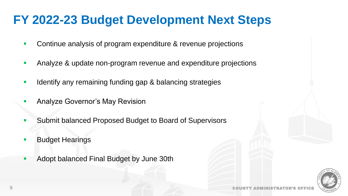# **FY 2022-23 Budget Development Next Steps**

- Continue analysis of program expenditure & revenue projections
- Analyze & update non-program revenue and expenditure projections
- Identify any remaining funding gap & balancing strategies
- Analyze Governor's May Revision
- Submit balanced Proposed Budget to Board of Supervisors
- **Budget Hearings**
- Adopt balanced Final Budget by June 30th

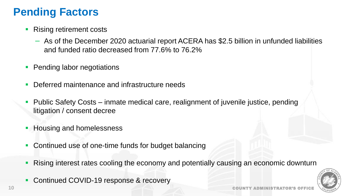# **Pending Factors**

- Rising retirement costs
	- − As of the December 2020 actuarial report ACERA has \$2.5 billion in unfunded liabilities and funded ratio decreased from 77.6% to 76.2%
- **Pending labor negotiations**
- Deferred maintenance and infrastructure needs
- Public Safety Costs inmate medical care, realignment of juvenile justice, pending litigation / consent decree
- **EXECUTE: Housing and homelessness**
- Continued use of one-time funds for budget balancing
- **Rising interest rates cooling the economy and potentially causing an economic downturn**
- Continued COVID-19 response & recovery

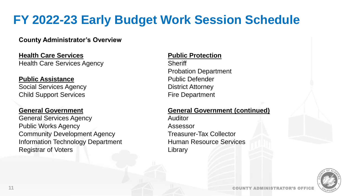# **FY 2022-23 Early Budget Work Session Schedule**

#### **County Administrator's Overview**

**Health Care Services** Health Care Services Agency

#### **Public Assistance**

Social Services Agency Child Support Services

#### **General Government**

General Services Agency Public Works Agency Community Development Agency Information Technology Department Registrar of Voters

#### **Public Protection**

**Sheriff** Probation Department Public Defender District Attorney Fire Department

### **General Government (continued)**

Auditor Assessor Treasurer-Tax Collector Human Resource Services **Library**